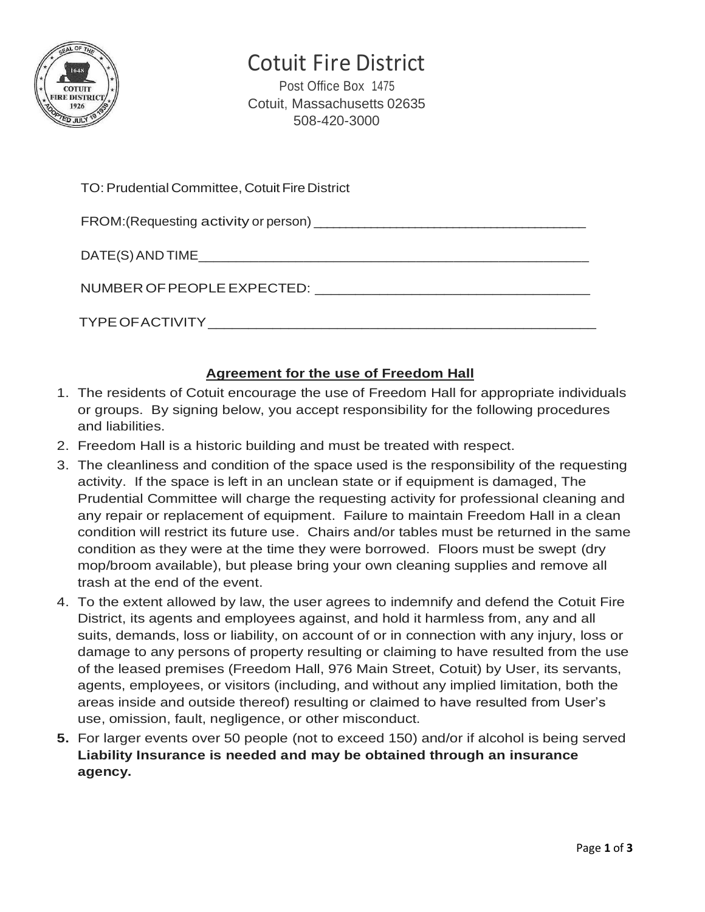

# Cotuit Fire District

Post Office Box 1475 Cotuit, Massachusetts 02635 508-420-3000

| TO: Prudential Committee, Cotuit Fire District |
|------------------------------------------------|
|                                                |
|                                                |
|                                                |
|                                                |

#### **Agreement for the use of Freedom Hall**

- 1. The residents of Cotuit encourage the use of Freedom Hall for appropriate individuals or groups. By signing below, you accept responsibility for the following procedures and liabilities.
- 2. Freedom Hall is a historic building and must be treated with respect.
- 3. The cleanliness and condition of the space used is the responsibility of the requesting activity. If the space is left in an unclean state or if equipment is damaged, The Prudential Committee will charge the requesting activity for professional cleaning and any repair or replacement of equipment. Failure to maintain Freedom Hall in a clean condition will restrict its future use. Chairs and/or tables must be returned in the same condition as they were at the time they were borrowed. Floors must be swept (dry mop/broom available), but please bring your own cleaning supplies and remove all trash at the end of the event.
- 4. To the extent allowed by law, the user agrees to indemnify and defend the Cotuit Fire District, its agents and employees against, and hold it harmless from, any and all suits, demands, loss or liability, on account of or in connection with any injury, loss or damage to any persons of property resulting or claiming to have resulted from the use of the leased premises (Freedom Hall, 976 Main Street, Cotuit) by User, its servants, agents, employees, or visitors (including, and without any implied limitation, both the areas inside and outside thereof) resulting or claimed to have resulted from User's use, omission, fault, negligence, or other misconduct.
- **5.** For larger events over 50 people (not to exceed 150) and/or if alcohol is being served **Liability Insurance is needed and may be obtained through an insurance agency.**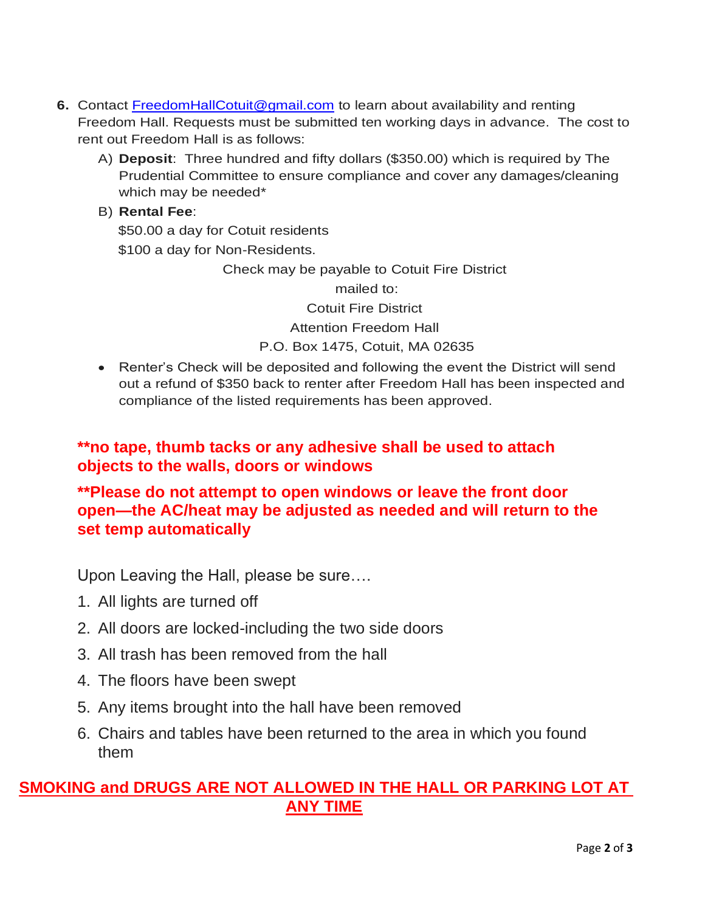- **6.** Contact [FreedomHallCotuit@gmail.com](mailto:FreedomHallCotuit@gmail.com) to learn about availability and renting Freedom Hall. Requests must be submitted ten working days in advance. The cost to rent out Freedom Hall is as follows:
	- A) **Deposit**: Three hundred and fifty dollars (\$350.00) which is required by The Prudential Committee to ensure compliance and cover any damages/cleaning which may be needed\*

## B) **Rental Fee**:

 \$50.00 a day for Cotuit residents \$100 a day for Non-Residents.

Check may be payable to Cotuit Fire District

mailed to:

Cotuit Fire District

Attention Freedom Hall

P.O. Box 1475, Cotuit, MA 02635

• Renter's Check will be deposited and following the event the District will send out a refund of \$350 back to renter after Freedom Hall has been inspected and compliance of the listed requirements has been approved.

### **\*\*no tape, thumb tacks or any adhesive shall be used to attach objects to the walls, doors or windows**

### **\*\*Please do not attempt to open windows or leave the front door open—the AC/heat may be adjusted as needed and will return to the set temp automatically**

Upon Leaving the Hall, please be sure….

- 1. All lights are turned off
- 2. All doors are locked-including the two side doors
- 3. All trash has been removed from the hall
- 4. The floors have been swept
- 5. Any items brought into the hall have been removed
- 6. Chairs and tables have been returned to the area in which you found them

### **SMOKING and DRUGS ARE NOT ALLOWED IN THE HALL OR PARKING LOT AT ANY TIME**